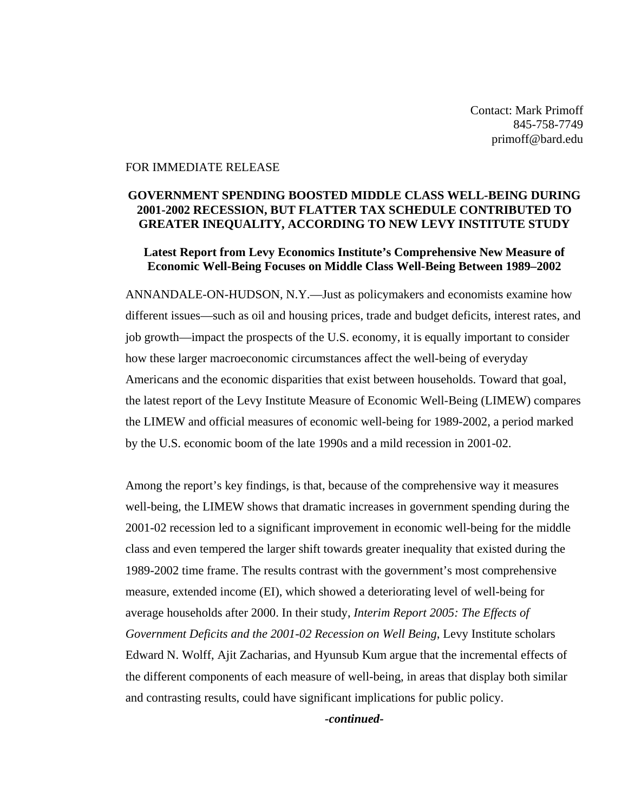Contact: Mark Primoff 845-758-7749 primoff@bard.edu

## FOR IMMEDIATE RELEASE

## **GOVERNMENT SPENDING BOOSTED MIDDLE CLASS WELL-BEING DURING 2001-2002 RECESSION, BUT FLATTER TAX SCHEDULE CONTRIBUTED TO GREATER INEQUALITY, ACCORDING TO NEW LEVY INSTITUTE STUDY**

## **Latest Report from Levy Economics Institute's Comprehensive New Measure of Economic Well-Being Focuses on Middle Class Well-Being Between 1989–2002**

ANNANDALE-ON-HUDSON, N.Y.—Just as policymakers and economists examine how different issues—such as oil and housing prices, trade and budget deficits, interest rates, and job growth—impact the prospects of the U.S. economy, it is equally important to consider how these larger macroeconomic circumstances affect the well-being of everyday Americans and the economic disparities that exist between households. Toward that goal, the latest report of the Levy Institute Measure of Economic Well-Being (LIMEW) compares the LIMEW and official measures of economic well-being for 1989-2002, a period marked by the U.S. economic boom of the late 1990s and a mild recession in 2001-02.

Among the report's key findings, is that, because of the comprehensive way it measures well-being, the LIMEW shows that dramatic increases in government spending during the 2001-02 recession led to a significant improvement in economic well-being for the middle class and even tempered the larger shift towards greater inequality that existed during the 1989-2002 time frame. The results contrast with the government's most comprehensive measure, extended income (EI), which showed a deteriorating level of well-being for average households after 2000. In their study, *Interim Report 2005: The Effects of Government Deficits and the 2001-02 Recession on Well Being*, Levy Institute scholars Edward N. Wolff, Ajit Zacharias, and Hyunsub Kum argue that the incremental effects of the different components of each measure of well-being, in areas that display both similar and contrasting results, could have significant implications for public policy.

*-continued-*